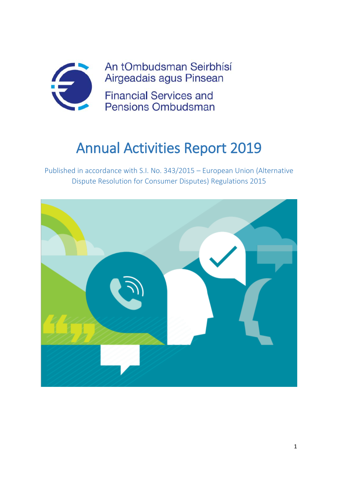

# Annual Activities Report 2019

Published in accordance with S.I. No. 343/2015 – European Union (Alternative Dispute Resolution for Consumer Disputes) Regulations 2015

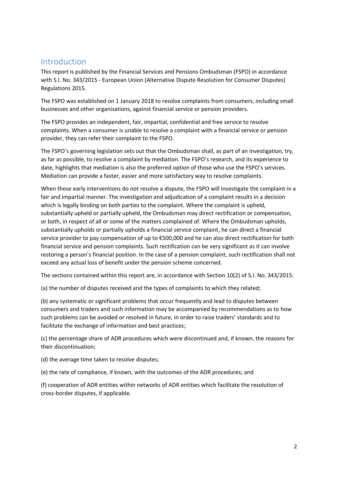### Introduction

This report is published by the Financial Services and Pensions Ombudsman (FSPO) in accordance with S.I. No. 343/2015 - European Union (Alternative Dispute Resolution for Consumer Disputes) Regulations 2015.

The FSPO was established on 1 January 2018 to resolve complaints from consumers, including small businesses and other organisations, against financial service or pension providers.

The FSPO provides an independent, fair, impartial, confidential and free service to resolve complaints. When a consumer is unable to resolve a complaint with a financial service or pension provider, they can refer their complaint to the FSPO.

The FSPO's governing legislation sets out that the Ombudsman shall, as part of an investigation, try, as far as possible, to resolve a complaint by mediation. The FSPO's research, and its experience to date, highlights that mediation is also the preferred option of those who use the FSPO's services. Mediation can provide a faster, easier and more satisfactory way to resolve complaints.

When these early interventions do not resolve a dispute, the FSPO will investigate the complaint in a fair and impartial manner. The investigation and adjudication of a complaint results in a decision which is legally binding on both parties to the complaint. Where the complaint is upheld, substantially upheld or partially upheld, the Ombudsman may direct rectification or compensation, or both, in respect of all or some of the matters complained of. Where the Ombudsman upholds, substantially upholds or partially upholds a financial service complaint, he can direct a financial service provider to pay compensation of up to €500,000 and he can also direct rectification for both financial service and pension complaints. Such rectification can be very significant as it can involve restoring a person's financial position. In the case of a pension complaint, such rectification shall not exceed any actual loss of benefit under the pension scheme concerned.

The sections contained within this report are, in accordance with Section 10(2) of S.I. No. 343/2015:

(a) the number of disputes received and the types of complaints to which they related;

(b) any systematic or significant problems that occur frequently and lead to disputes between consumers and traders and such information may be accompanied by recommendations as to how such problems can be avoided or resolved in future, in order to raise traders' standards and to facilitate the exchange of information and best practices;

(c) the percentage share of ADR procedures which were discontinued and, if known, the reasons for their discontinuation;

(d) the average time taken to resolve disputes;

(e) the rate of compliance, if known, with the outcomes of the ADR procedures; and

(f) cooperation of ADR entities within networks of ADR entities which facilitate the resolution of cross-border disputes, if applicable.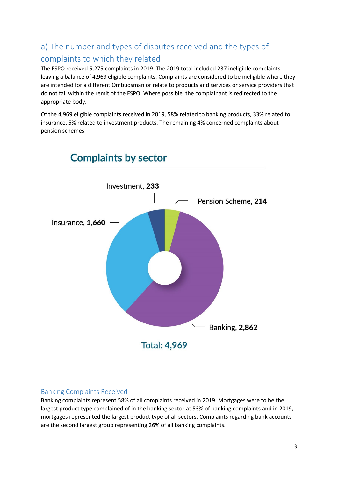# a) The number and types of disputes received and the types of complaints to which they related

The FSPO received 5,275 complaints in 2019. The 2019 total included 237 ineligible complaints, leaving a balance of 4,969 eligible complaints. Complaints are considered to be ineligible where they are intended for a different Ombudsman or relate to products and services or service providers that do not fall within the remit of the FSPO. Where possible, the complainant is redirected to the appropriate body.

Of the 4,969 eligible complaints received in 2019, 58% related to banking products, 33% related to insurance, 5% related to investment products. The remaining 4% concerned complaints about pension schemes.



### Banking Complaints Received

Banking complaints represent 58% of all complaints received in 2019. Mortgages were to be the largest product type complained of in the banking sector at 53% of banking complaints and in 2019, mortgages represented the largest product type of all sectors. Complaints regarding bank accounts are the second largest group representing 26% of all banking complaints.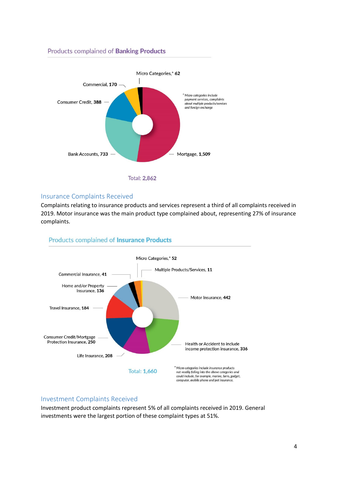### Products complained of Banking Products



### Insurance Complaints Received

Complaints relating to insurance products and services represent a third of all complaints received in 2019. Motor insurance was the main product type complained about, representing 27% of insurance complaints.



#### **Products complained of Insurance Products**

#### Investment Complaints Received

Investment product complaints represent 5% of all complaints received in 2019. General investments were the largest portion of these complaint types at 51%.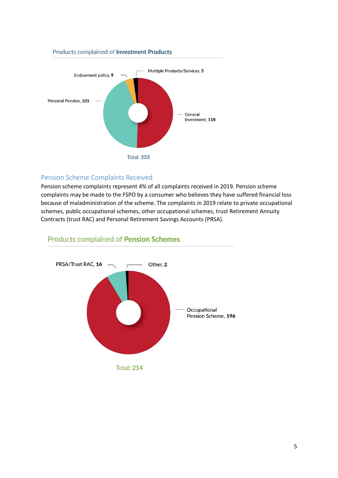# Multiple Products/Services, 5 Endowment policy, 9 Personal Pension, 101 General Investment, 118 **Total: 233**

Products complained of Investment Products

### Pension Scheme Complaints Received

Pension scheme complaints represent 4% of all complaints received in 2019. Pension scheme complaints may be made to the FSPO by a consumer who believes they have suffered financial loss because of maladministration of the scheme. The complaints in 2019 relate to private occupational schemes, public occupational schemes, other occupational schemes, trust Retirement Annuity Contracts (trust RAC) and Personal Retirement Savings Accounts (PRSA).



### **Products complained of Pension Schemes**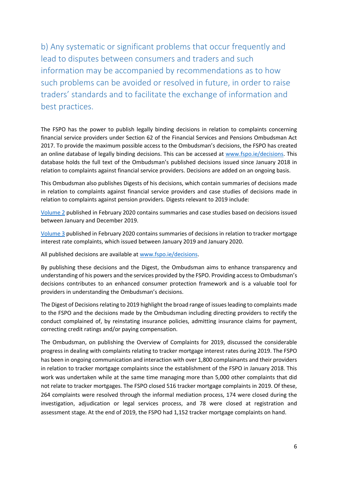b) Any systematic or significant problems that occur frequently and lead to disputes between consumers and traders and such information may be accompanied by recommendations as to how such problems can be avoided or resolved in future, in order to raise traders' standards and to facilitate the exchange of information and best practices.

The FSPO has the power to publish legally binding decisions in relation to complaints concerning financial service providers under Section 62 of the Financial Services and Pensions Ombudsman Act 2017. To provide the maximum possible access to the Ombudsman's decisions, the FSPO has created an online database of legally binding decisions. This can be accessed at [www.fspo.ie/decisions.](file://///fso.local/CIS/Publications/S.I.%20No.3432015%20Reporting/2019/www.fspo.ie/decisions) This database holds the full text of the Ombudsman's published decisions issued since January 2018 in relation to complaints against financial service providers. Decisions are added on an ongoing basis.

This Ombudsman also publishes Digests of his decisions, which contain summaries of decisions made in relation to complaints against financial service providers and case studies of decisions made in relation to complaints against pension providers. Digests relevant to 2019 include:

[Volume 2](https://www.fspo.ie/decisions/documents/Ombudsmans_Digest_of_Decisions_Vol2.pdf) published in February 2020 contains summaries and case studies based on decisions issued between January and December 2019.

[Volume 3](https://www.fspo.ie/decisions/documents/Ombudsmans_Digest_of_Decisions_Vol3.pdf) published in February 2020 contains summaries of decisions in relation to tracker mortgage interest rate complaints, which issued between January 2019 and January 2020.

All published decisions are available at [www.fspo.ie/decisions.](file://///fso.local/CIS/Publications/S.I.%20No.3432015%20Reporting/2019/www.fspo.ie/decisions)

By publishing these decisions and the Digest, the Ombudsman aims to enhance transparency and understanding of his powers and the services provided by the FSPO. Providing access to Ombudsman's decisions contributes to an enhanced consumer protection framework and is a valuable tool for providers in understanding the Ombudsman's decisions.

The Digest of Decisions relating to 2019 highlight the broad range of issues leading to complaints made to the FSPO and the decisions made by the Ombudsman including directing providers to rectify the conduct complained of, by reinstating insurance policies, admitting insurance claims for payment, correcting credit ratings and/or paying compensation.

The Ombudsman, on publishing the Overview of Complaints for 2019, discussed the considerable progress in dealing with complaints relating to tracker mortgage interest rates during 2019. The FSPO has been in ongoing communication and interaction with over 1,800 complainants and their providers in relation to tracker mortgage complaints since the establishment of the FSPO in January 2018. This work was undertaken while at the same time managing more than 5,000 other complaints that did not relate to tracker mortgages. The FSPO closed 516 tracker mortgage complaints in 2019. Of these, 264 complaints were resolved through the informal mediation process, 174 were closed during the investigation, adjudication or legal services process, and 78 were closed at registration and assessment stage. At the end of 2019, the FSPO had 1,152 tracker mortgage complaints on hand.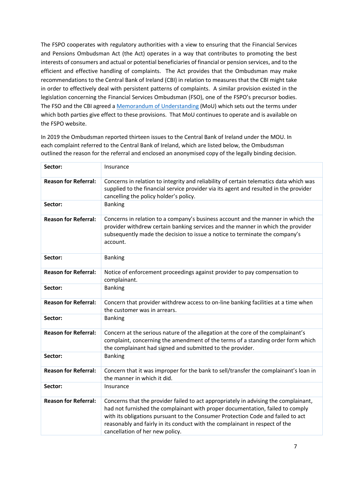The FSPO cooperates with regulatory authorities with a view to ensuring that the Financial Services and Pensions Ombudsman Act (the Act) operates in a way that contributes to promoting the best interests of consumers and actual or potential beneficiaries of financial or pension services, and to the efficient and effective handling of complaints. The Act provides that the Ombudsman may make recommendations to the Central Bank of Ireland (CBI) in relation to measures that the CBI might take in order to effectively deal with persistent patterns of complaints. A similar provision existed in the legislation concerning the Financial Services Ombudsman (FSO), one of the FSPO's precursor bodies. The FSO and the CBI agreed [a Memorandum of Understanding](https://www.fspo.ie/about-us/mou.asp) (MoU) which sets out the terms under which both parties give effect to these provisions. That MoU continues to operate and is available on the FSPO website.

In 2019 the Ombudsman reported thirteen issues to the Central Bank of Ireland under the MOU. In each complaint referred to the Central Bank of Ireland, which are listed below, the Ombudsman outlined the reason for the referral and enclosed an anonymised copy of the legally binding decision.

| Sector:                     | Insurance                                                                                                                                                                                                                                                                                                                                                                 |
|-----------------------------|---------------------------------------------------------------------------------------------------------------------------------------------------------------------------------------------------------------------------------------------------------------------------------------------------------------------------------------------------------------------------|
| <b>Reason for Referral:</b> | Concerns in relation to integrity and reliability of certain telematics data which was<br>supplied to the financial service provider via its agent and resulted in the provider<br>cancelling the policy holder's policy.                                                                                                                                                 |
| Sector:                     | <b>Banking</b>                                                                                                                                                                                                                                                                                                                                                            |
| <b>Reason for Referral:</b> | Concerns in relation to a company's business account and the manner in which the<br>provider withdrew certain banking services and the manner in which the provider<br>subsequently made the decision to issue a notice to terminate the company's<br>account.                                                                                                            |
| Sector:                     | <b>Banking</b>                                                                                                                                                                                                                                                                                                                                                            |
| <b>Reason for Referral:</b> | Notice of enforcement proceedings against provider to pay compensation to<br>complainant.                                                                                                                                                                                                                                                                                 |
| Sector:                     | <b>Banking</b>                                                                                                                                                                                                                                                                                                                                                            |
| <b>Reason for Referral:</b> | Concern that provider withdrew access to on-line banking facilities at a time when<br>the customer was in arrears.                                                                                                                                                                                                                                                        |
| Sector:                     | <b>Banking</b>                                                                                                                                                                                                                                                                                                                                                            |
| <b>Reason for Referral:</b> | Concern at the serious nature of the allegation at the core of the complainant's<br>complaint, concerning the amendment of the terms of a standing order form which<br>the complainant had signed and submitted to the provider.                                                                                                                                          |
| Sector:                     | <b>Banking</b>                                                                                                                                                                                                                                                                                                                                                            |
| <b>Reason for Referral:</b> | Concern that it was improper for the bank to sell/transfer the complainant's loan in<br>the manner in which it did.                                                                                                                                                                                                                                                       |
| Sector:                     | Insurance                                                                                                                                                                                                                                                                                                                                                                 |
| <b>Reason for Referral:</b> | Concerns that the provider failed to act appropriately in advising the complainant,<br>had not furnished the complainant with proper documentation, failed to comply<br>with its obligations pursuant to the Consumer Protection Code and failed to act<br>reasonably and fairly in its conduct with the complainant in respect of the<br>cancellation of her new policy. |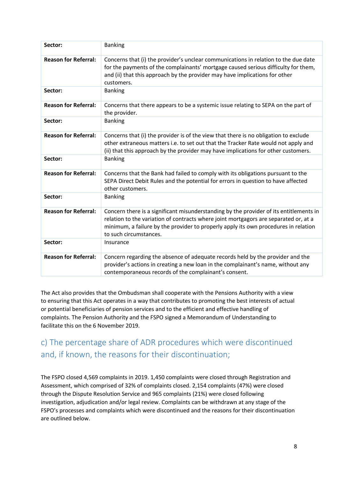| Sector:                     | <b>Banking</b>                                                                                                                                                                                                                                                                                  |
|-----------------------------|-------------------------------------------------------------------------------------------------------------------------------------------------------------------------------------------------------------------------------------------------------------------------------------------------|
| <b>Reason for Referral:</b> | Concerns that (i) the provider's unclear communications in relation to the due date<br>for the payments of the complainants' mortgage caused serious difficulty for them,<br>and (ii) that this approach by the provider may have implications for other<br>customers.                          |
| Sector:                     | <b>Banking</b>                                                                                                                                                                                                                                                                                  |
| <b>Reason for Referral:</b> | Concerns that there appears to be a systemic issue relating to SEPA on the part of<br>the provider.                                                                                                                                                                                             |
| Sector:                     | <b>Banking</b>                                                                                                                                                                                                                                                                                  |
| <b>Reason for Referral:</b> | Concerns that (i) the provider is of the view that there is no obligation to exclude<br>other extraneous matters i.e. to set out that the Tracker Rate would not apply and<br>(ii) that this approach by the provider may have implications for other customers.                                |
| Sector:                     | <b>Banking</b>                                                                                                                                                                                                                                                                                  |
| <b>Reason for Referral:</b> | Concerns that the Bank had failed to comply with its obligations pursuant to the<br>SEPA Direct Debit Rules and the potential for errors in question to have affected<br>other customers.                                                                                                       |
| Sector:                     | <b>Banking</b>                                                                                                                                                                                                                                                                                  |
| <b>Reason for Referral:</b> | Concern there is a significant misunderstanding by the provider of its entitlements in<br>relation to the variation of contracts where joint mortgagors are separated or, at a<br>minimum, a failure by the provider to properly apply its own procedures in relation<br>to such circumstances. |
| Sector:                     | Insurance                                                                                                                                                                                                                                                                                       |
| <b>Reason for Referral:</b> | Concern regarding the absence of adequate records held by the provider and the<br>provider's actions in creating a new loan in the complainant's name, without any<br>contemporaneous records of the complainant's consent.                                                                     |

The Act also provides that the Ombudsman shall cooperate with the Pensions Authority with a view to ensuring that this Act operates in a way that contributes to promoting the best interests of actual or potential beneficiaries of pension services and to the efficient and effective handling of complaints. The Pension Authority and the FSPO signed a Memorandum of Understanding to facilitate this on the 6 November 2019.

## c) The percentage share of ADR procedures which were discontinued and, if known, the reasons for their discontinuation;

The FSPO closed 4,569 complaints in 2019. 1,450 complaints were closed through Registration and Assessment, which comprised of 32% of complaints closed. 2,154 complaints (47%) were closed through the Dispute Resolution Service and 965 complaints (21%) were closed following investigation, adjudication and/or legal review. Complaints can be withdrawn at any stage of the FSPO's processes and complaints which were discontinued and the reasons for their discontinuation are outlined below.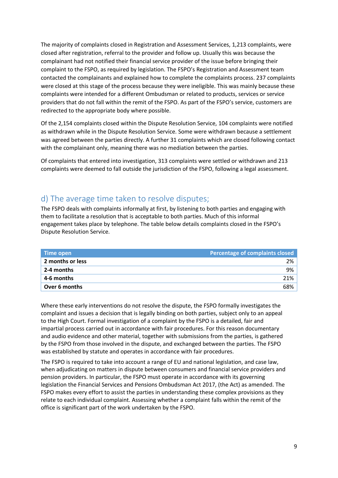The majority of complaints closed in Registration and Assessment Services, 1,213 complaints, were closed after registration, referral to the provider and follow up. Usually this was because the complainant had not notified their financial service provider of the issue before bringing their complaint to the FSPO, as required by legislation. The FSPO's Registration and Assessment team contacted the complainants and explained how to complete the complaints process. 237 complaints were closed at this stage of the process because they were ineligible. This was mainly because these complaints were intended for a different Ombudsman or related to products, services or service providers that do not fall within the remit of the FSPO. As part of the FSPO's service, customers are redirected to the appropriate body where possible.

Of the 2,154 complaints closed within the Dispute Resolution Service, 104 complaints were notified as withdrawn while in the Dispute Resolution Service. Some were withdrawn because a settlement was agreed between the parties directly. A further 31 complaints which are closed following contact with the complainant only, meaning there was no mediation between the parties.

Of complaints that entered into investigation, 313 complaints were settled or withdrawn and 213 complaints were deemed to fall outside the jurisdiction of the FSPO, following a legal assessment.

## d) The average time taken to resolve disputes;

The FSPO deals with complaints informally at first, by listening to both parties and engaging with them to facilitate a resolution that is acceptable to both parties. Much of this informal engagement takes place by telephone. The table below details complaints closed in the FSPO's Dispute Resolution Service.

| Time open        | Percentage of complaints closed |
|------------------|---------------------------------|
| 2 months or less | 2%                              |
| 2-4 months       | 9%                              |
| 4-6 months       | 21%                             |
| Over 6 months    | 68%                             |

Where these early interventions do not resolve the dispute, the FSPO formally investigates the complaint and issues a decision that is legally binding on both parties, subject only to an appeal to the High Court. Formal investigation of a complaint by the FSPO is a detailed, fair and impartial process carried out in accordance with fair procedures. For this reason documentary and audio evidence and other material, together with submissions from the parties, is gathered by the FSPO from those involved in the dispute, and exchanged between the parties. The FSPO was established by statute and operates in accordance with fair procedures.

The FSPO is required to take into account a range of EU and national legislation, and case law, when adjudicating on matters in dispute between consumers and financial service providers and pension providers. In particular, the FSPO must operate in accordance with its governing legislation the Financial Services and Pensions Ombudsman Act 2017, (the Act) as amended. The FSPO makes every effort to assist the parties in understanding these complex provisions as they relate to each individual complaint. Assessing whether a complaint falls within the remit of the office is significant part of the work undertaken by the FSPO.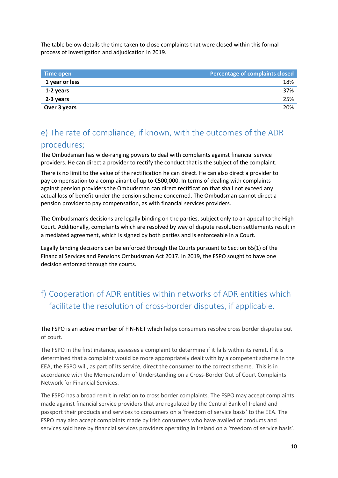The table below details the time taken to close complaints that were closed within this formal process of investigation and adjudication in 2019.

| Time open      | Percentage of complaints closed |
|----------------|---------------------------------|
| 1 year or less | 18%                             |
| 1-2 years      | 37%                             |
| 2-3 years      | 25%                             |
| Over 3 years   | 20%                             |

## e) The rate of compliance, if known, with the outcomes of the ADR procedures;

The Ombudsman has wide-ranging powers to deal with complaints against financial service providers. He can direct a provider to rectify the conduct that is the subject of the complaint.

There is no limit to the value of the rectification he can direct. He can also direct a provider to pay compensation to a complainant of up to €500,000. In terms of dealing with complaints against pension providers the Ombudsman can direct rectification that shall not exceed any actual loss of benefit under the pension scheme concerned. The Ombudsman cannot direct a pension provider to pay compensation, as with financial services providers.

The Ombudsman's decisions are legally binding on the parties, subject only to an appeal to the High Court. Additionally, complaints which are resolved by way of dispute resolution settlements result in a mediated agreement, which is signed by both parties and is enforceable in a Court.

Legally binding decisions can be enforced through the Courts pursuant to Section 65(1) of the Financial Services and Pensions Ombudsman Act 2017. In 2019, the FSPO sought to have one decision enforced through the courts.

# f) Cooperation of ADR entities within networks of ADR entities which facilitate the resolution of cross-border disputes, if applicable.

The FSPO is an active member of FIN-NET which helps consumers resolve cross border disputes out of court.

The FSPO in the first instance, assesses a complaint to determine if it falls within its remit. If it is determined that a complaint would be more appropriately dealt with by a competent scheme in the EEA, the FSPO will, as part of its service, direct the consumer to the correct scheme. This is in accordance with the Memorandum of Understanding on a Cross-Border Out of Court Complaints Network for Financial Services.

The FSPO has a broad remit in relation to cross border complaints. The FSPO may accept complaints made against financial service providers that are regulated by the Central Bank of Ireland and passport their products and services to consumers on a 'freedom of service basis' to the EEA. The FSPO may also accept complaints made by Irish consumers who have availed of products and services sold here by financial services providers operating in Ireland on a 'freedom of service basis'.